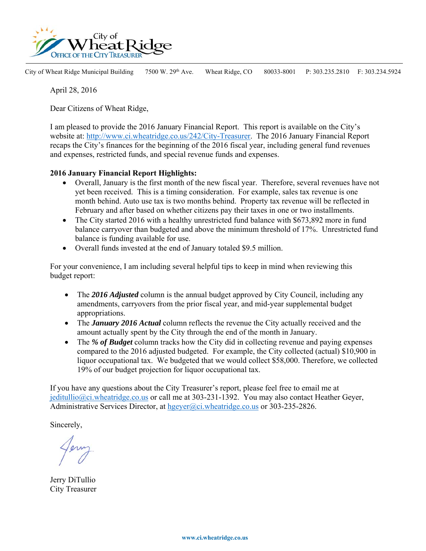

City of Wheat Ridge Municipal Building 7500 W. 29<sup>th</sup> Ave. Wheat Ridge, CO 80033-8001 P: 303.235.2810 F: 303.234.5924

April 28, 2016

Dear Citizens of Wheat Ridge,

I am pleased to provide the 2016 January Financial Report. This report is available on the City's website at: http://www.ci.wheatridge.co.us/242/City-Treasurer. The 2016 January Financial Report recaps the City's finances for the beginning of the 2016 fiscal year, including general fund revenues and expenses, restricted funds, and special revenue funds and expenses.

### **2016 January Financial Report Highlights:**

- Overall, January is the first month of the new fiscal year. Therefore, several revenues have not yet been received. This is a timing consideration. For example, sales tax revenue is one month behind. Auto use tax is two months behind. Property tax revenue will be reflected in February and after based on whether citizens pay their taxes in one or two installments.
- The City started 2016 with a healthy unrestricted fund balance with \$673,892 more in fund balance carryover than budgeted and above the minimum threshold of 17%. Unrestricted fund balance is funding available for use.
- Overall funds invested at the end of January totaled \$9.5 million.

For your convenience, I am including several helpful tips to keep in mind when reviewing this budget report:

- The **2016 Adjusted** column is the annual budget approved by City Council, including any amendments, carryovers from the prior fiscal year, and mid-year supplemental budget appropriations.
- The *January 2016 Actual* column reflects the revenue the City actually received and the amount actually spent by the City through the end of the month in January.
- The *% of Budget* column tracks how the City did in collecting revenue and paying expenses compared to the 2016 adjusted budgeted. For example, the City collected (actual) \$10,900 in liquor occupational tax. We budgeted that we would collect \$58,000. Therefore, we collected 19% of our budget projection for liquor occupational tax.

If you have any questions about the City Treasurer's report, please feel free to email me at jeditullio@ci.wheatridge.co.us or call me at 303-231-1392. You may also contact Heather Geyer, Administrative Services Director, at hgeyer@ci.wheatridge.co.us or 303-235-2826.

Sincerely,

Jerry DiTullio City Treasurer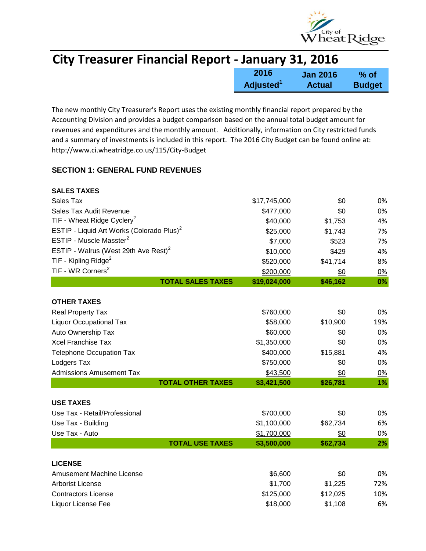

| <b>City Treasurer Financial Report - January 31, 2016</b> |                       |                 |               |
|-----------------------------------------------------------|-----------------------|-----------------|---------------|
|                                                           | 2016                  | <b>Jan 2016</b> | $%$ of        |
|                                                           | Adjusted <sup>1</sup> | <b>Actual</b>   | <b>Budget</b> |

The new monthly City Treasurer's Report uses the existing monthly financial report prepared by the Accounting Division and provides a budget comparison based on the annual total budget amount for revenues and expenditures and the monthly amount. Additionally, information on City restricted funds and a summary of investments is included in this report. The 2016 City Budget can be found online at: http://www.ci.wheatridge.co.us/115/City-Budget

### **SECTION 1: GENERAL FUND REVENUES**

| <b>SALES TAXES</b>                                    |              |          |     |
|-------------------------------------------------------|--------------|----------|-----|
| Sales Tax                                             | \$17,745,000 | \$0      | 0%  |
| Sales Tax Audit Revenue                               | \$477,000    | \$0      | 0%  |
| TIF - Wheat Ridge Cyclery <sup>2</sup>                | \$40,000     | \$1,753  | 4%  |
| ESTIP - Liquid Art Works (Colorado Plus) <sup>2</sup> | \$25,000     | \$1,743  | 7%  |
| ESTIP - Muscle Masster <sup>2</sup>                   | \$7,000      | \$523    | 7%  |
| ESTIP - Walrus (West 29th Ave Rest) <sup>2</sup>      | \$10,000     | \$429    | 4%  |
| TIF - Kipling Ridge <sup>2</sup>                      | \$520,000    | \$41,714 | 8%  |
| TIF - WR Corners <sup>2</sup>                         | \$200,000    | \$0      | 0%  |
| <b>TOTAL SALES TAXES</b>                              | \$19,024,000 | \$46,162 | 0%  |
|                                                       |              |          |     |
| <b>OTHER TAXES</b>                                    |              |          |     |
| <b>Real Property Tax</b>                              | \$760,000    | \$0      | 0%  |
| <b>Liquor Occupational Tax</b>                        | \$58,000     | \$10,900 | 19% |
| Auto Ownership Tax                                    | \$60,000     | \$0      | 0%  |
| <b>Xcel Franchise Tax</b>                             | \$1,350,000  | \$0      | 0%  |
| <b>Telephone Occupation Tax</b>                       | \$400,000    | \$15,881 | 4%  |
| Lodgers Tax                                           | \$750,000    | \$0      | 0%  |
| <b>Admissions Amusement Tax</b>                       | \$43,500     | \$0      | 0%  |
| <b>TOTAL OTHER TAXES</b>                              | \$3,421,500  | \$26,781 | 1%  |
| <b>USE TAXES</b>                                      |              |          |     |
| Use Tax - Retail/Professional                         | \$700,000    | \$0      | 0%  |
| Use Tax - Building                                    | \$1,100,000  | \$62,734 | 6%  |
| Use Tax - Auto                                        | \$1,700,000  | \$0      | 0%  |
| <b>TOTAL USE TAXES</b>                                | \$3,500,000  | \$62,734 | 2%  |
|                                                       |              |          |     |
| <b>LICENSE</b>                                        |              |          |     |
| Amusement Machine License                             | \$6,600      | \$0      | 0%  |
| <b>Arborist License</b>                               | \$1,700      | \$1,225  | 72% |
| <b>Contractors License</b>                            | \$125,000    | \$12,025 | 10% |
| Liquor License Fee                                    | \$18,000     | \$1,108  | 6%  |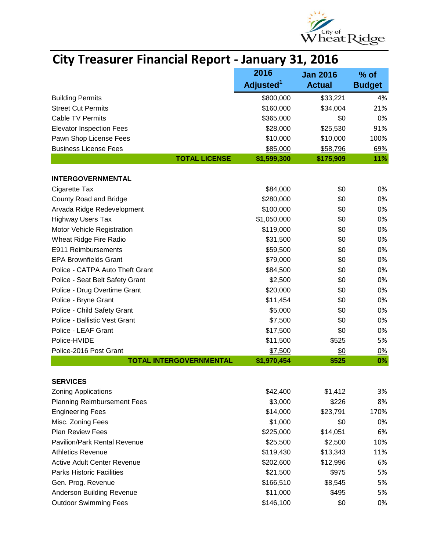

| <b>City Treasurer Financial Report - January 31, 2016</b> |  |  |  |  |
|-----------------------------------------------------------|--|--|--|--|
|-----------------------------------------------------------|--|--|--|--|

|                                     | 2016                  | <b>Jan 2016</b> | $%$ of        |
|-------------------------------------|-----------------------|-----------------|---------------|
|                                     | Adjusted <sup>1</sup> | <b>Actual</b>   | <b>Budget</b> |
| <b>Building Permits</b>             | \$800,000             | \$33,221        | 4%            |
| <b>Street Cut Permits</b>           | \$160,000             | \$34,004        | 21%           |
| <b>Cable TV Permits</b>             | \$365,000             | \$0             | 0%            |
| <b>Elevator Inspection Fees</b>     | \$28,000              | \$25,530        | 91%           |
| Pawn Shop License Fees              | \$10,000              | \$10,000        | 100%          |
| <b>Business License Fees</b>        | \$85,000              | \$58,796        | 69%           |
| <b>TOTAL LICENSE</b>                | \$1,599,300           | \$175,909       | 11%           |
|                                     |                       |                 |               |
| <b>INTERGOVERNMENTAL</b>            |                       |                 |               |
| Cigarette Tax                       | \$84,000              | \$0             | 0%            |
| County Road and Bridge              | \$280,000             | \$0             | 0%            |
| Arvada Ridge Redevelopment          | \$100,000             | \$0             | 0%            |
| <b>Highway Users Tax</b>            | \$1,050,000           | \$0             | 0%            |
| Motor Vehicle Registration          | \$119,000             | \$0             | 0%            |
| Wheat Ridge Fire Radio              | \$31,500              | \$0             | 0%            |
| E911 Reimbursements                 | \$59,500              | \$0             | 0%            |
| <b>EPA Brownfields Grant</b>        | \$79,000              | \$0             | 0%            |
| Police - CATPA Auto Theft Grant     | \$84,500              | \$0             | 0%            |
| Police - Seat Belt Safety Grant     | \$2,500               | \$0             | 0%            |
| Police - Drug Overtime Grant        | \$20,000              | \$0             | 0%            |
| Police - Bryne Grant                | \$11,454              | \$0             | 0%            |
| Police - Child Safety Grant         | \$5,000               | \$0             | 0%            |
| Police - Ballistic Vest Grant       | \$7,500               | \$0             | 0%            |
| Police - LEAF Grant                 | \$17,500              | \$0             | 0%            |
| Police-HVIDE                        | \$11,500              | \$525           | 5%            |
| Police-2016 Post Grant              | \$7,500               | \$0             | 0%            |
| <b>TOTAL INTERGOVERNMENTAL</b>      | \$1,970,454           | \$525           | 0%            |
| <b>SERVICES</b>                     |                       |                 |               |
| <b>Zoning Applications</b>          | \$42,400              | \$1,412         | 3%            |
| <b>Planning Reimbursement Fees</b>  | \$3,000               | \$226           | 8%            |
| <b>Engineering Fees</b>             | \$14,000              | \$23,791        | 170%          |
| Misc. Zoning Fees                   | \$1,000               | \$0             | 0%            |
| <b>Plan Review Fees</b>             | \$225,000             | \$14,051        | 6%            |
| <b>Pavilion/Park Rental Revenue</b> | \$25,500              | \$2,500         | 10%           |
| <b>Athletics Revenue</b>            | \$119,430             | \$13,343        | 11%           |
| <b>Active Adult Center Revenue</b>  | \$202,600             | \$12,996        | 6%            |
| <b>Parks Historic Facilities</b>    | \$21,500              | \$975           | 5%            |
| Gen. Prog. Revenue                  | \$166,510             | \$8,545         | 5%            |
| Anderson Building Revenue           | \$11,000              | \$495           | 5%            |
| <b>Outdoor Swimming Fees</b>        | \$146,100             | \$0             | 0%            |
|                                     |                       |                 |               |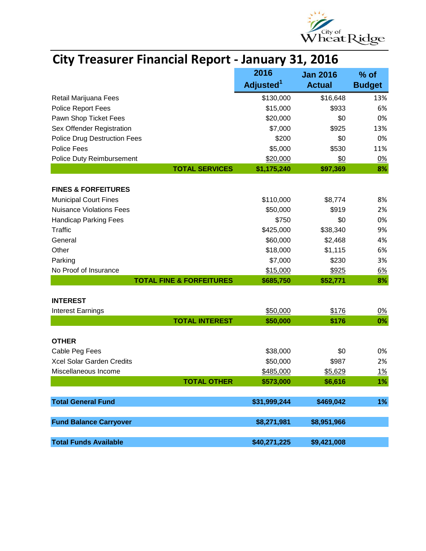

| <b>City Treasurer Financial Report - January 31, 2016</b> |                                   |               |                 |
|-----------------------------------------------------------|-----------------------------------|---------------|-----------------|
|                                                           | 2016<br><b>Jan 2016</b><br>$%$ of |               |                 |
|                                                           | Adjusted <sup>1</sup>             | <b>Actual</b> | <b>Budget</b>   |
| Retail Marijuana Fees                                     | \$130,000                         | \$16,648      | 13%             |
| Police Report Fees                                        | \$15,000                          | \$933         | 6%              |
| Pawn Shop Ticket Fees                                     | \$20,000                          | \$0           | 0%              |
| Sex Offender Registration                                 | \$7,000                           | \$925         | 13%             |
| <b>Police Drug Destruction Fees</b>                       | \$200                             | \$0           | 0%              |
| Police Fees                                               | \$5,000                           | \$530         | 11%             |
| Police Duty Reimbursement                                 | \$20,000                          | \$0           | 0%              |
| <b>TOTAL SERVICES</b>                                     | \$1,175,240                       | \$97,369      | 8%              |
| <b>FINES &amp; FORFEITURES</b>                            |                                   |               |                 |
| <b>Municipal Court Fines</b>                              | \$110,000                         | \$8,774       | 8%              |
| <b>Nuisance Violations Fees</b>                           | \$50,000                          | \$919         | 2%              |
| <b>Handicap Parking Fees</b>                              | \$750                             | \$0           | 0%              |
| Traffic                                                   | \$425,000                         | \$38,340      | 9%              |
| General                                                   | \$60,000                          | \$2,468       | 4%              |
| Other                                                     | \$18,000                          | \$1,115       | 6%              |
| Parking                                                   | \$7,000                           | \$230         | 3%              |
| No Proof of Insurance                                     | \$15,000                          | \$925         | <u>6%</u>       |
| <b>TOTAL FINE &amp; FORFEITURES</b>                       | \$685,750                         | \$52,771      | 8%              |
|                                                           |                                   |               |                 |
| <b>INTEREST</b>                                           | \$50,000                          | \$176         |                 |
| <b>Interest Earnings</b><br><b>TOTAL INTEREST</b>         | \$50,000                          | \$176         | <u>0%</u><br>0% |
|                                                           |                                   |               |                 |
| <b>OTHER</b>                                              |                                   |               |                 |
| Cable Peg Fees                                            | \$38,000                          | \$0           | 0%              |
| Xcel Solar Garden Credits                                 | \$50,000                          | \$987         | 2%              |
| Miscellaneous Income                                      | \$485,000                         | \$5,629       | <u>1%</u>       |
| <b>TOTAL OTHER</b>                                        | \$573,000                         | \$6,616       | 1%              |
| <b>Total General Fund</b>                                 | \$31,999,244                      | \$469,042     | 1%              |
| <b>Fund Balance Carryover</b>                             | \$8,271,981                       | \$8,951,966   |                 |
|                                                           |                                   |               |                 |
| <b>Total Funds Available</b>                              | \$40,271,225                      | \$9,421,008   |                 |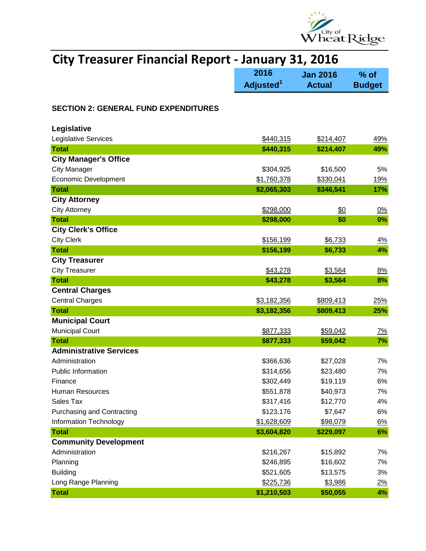

# **City Treasurer Financial Report - January 31, 2016**

|                                             | 2016                  | <b>Jan 2016</b> | % of          |
|---------------------------------------------|-----------------------|-----------------|---------------|
|                                             | Adjusted <sup>1</sup> | <b>Actual</b>   | <b>Budget</b> |
| <b>SECTION 2: GENERAL FUND EXPENDITURES</b> |                       |                 |               |
| Legislative                                 |                       |                 |               |
| Legislative Services                        | \$440,315             | \$214,407       | 49%           |
| <b>Total</b>                                | \$440,315             | \$214,407       | 49%           |
| <b>City Manager's Office</b>                |                       |                 |               |
| <b>City Manager</b>                         | \$304,925             | \$16,500        | 5%            |
| <b>Economic Development</b>                 | \$1,760,378           | \$330,041       | 19%           |
| <b>Total</b>                                | \$2,065,303           | \$346,541       | 17%           |
| <b>City Attorney</b>                        |                       |                 |               |
| <b>City Attorney</b>                        | \$298,000             | \$0             | 0%            |
| <b>Total</b>                                | \$298,000             | \$0             | 0%            |
| <b>City Clerk's Office</b>                  |                       |                 |               |
| <b>City Clerk</b>                           | \$156,199             | \$6,733         | <u>4%</u>     |
| <b>Total</b>                                | \$156,199             | \$6,733         | 4%            |
| <b>City Treasurer</b>                       |                       |                 |               |
| <b>City Treasurer</b>                       | \$43,278              | \$3,564         | 8%            |
| <b>Total</b>                                | \$43,278              | \$3,564         | 8%            |
| <b>Central Charges</b>                      |                       |                 |               |
| <b>Central Charges</b>                      | \$3,182,356           | \$809,413       | 25%           |
| <b>Total</b>                                | \$3,182,356           | \$809,413       | 25%           |
| <b>Municipal Court</b>                      |                       |                 |               |
| <b>Municipal Court</b>                      | \$877,333             | \$59,042        | <u>7%</u>     |
| <b>Total</b>                                | \$877,333             | \$59,042        | 7%            |
| <b>Administrative Services</b>              |                       |                 |               |
| Administration                              | \$366,636             | \$27,028        | 7%            |
| <b>Public Information</b>                   | \$314,656             | \$23,480        | 7%            |
| Finance                                     | \$302,449             | \$19,119        | $6\%$         |
| Human Resources                             | \$551,878             | \$40,973        | 7%            |
| Sales Tax                                   | \$317,416             | \$12,770        | 4%            |
| Purchasing and Contracting                  | \$123,176             | \$7,647         | 6%            |
| Information Technology                      | \$1,628,609           | \$98,079        | 6%            |
| <b>Total</b>                                | \$3,604,820           | \$229,097       | 6%            |
| <b>Community Development</b>                |                       |                 |               |
| Administration                              | \$216,267             | \$15,892        | 7%            |
| Planning                                    | \$246,895             | \$16,602        | 7%            |
| <b>Building</b>                             | \$521,605             | \$13,575        | 3%            |
| Long Range Planning                         | \$225,736             | \$3,986         | 2%            |
| <b>Total</b>                                | \$1,210,503           | \$50,055        | 4%            |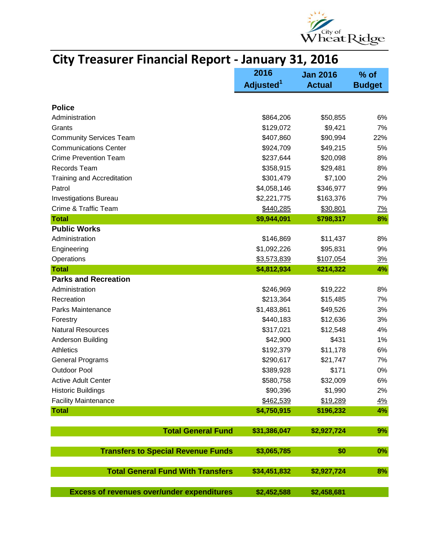

| CRY TECSONER FINANCIAI REPORT                     | JUIJUUJ Y JIJ LUIU    |                 |               |
|---------------------------------------------------|-----------------------|-----------------|---------------|
|                                                   | 2016                  | <b>Jan 2016</b> | $%$ of        |
|                                                   | Adjusted <sup>1</sup> | <b>Actual</b>   | <b>Budget</b> |
|                                                   |                       |                 |               |
| <b>Police</b>                                     |                       |                 |               |
| Administration                                    | \$864,206             | \$50,855        | 6%            |
| Grants                                            | \$129,072             | \$9,421         | 7%            |
| <b>Community Services Team</b>                    | \$407,860             | \$90,994        | 22%           |
| <b>Communications Center</b>                      | \$924,709             | \$49,215        | 5%            |
| <b>Crime Prevention Team</b>                      | \$237,644             | \$20,098        | 8%            |
| Records Team                                      | \$358,915             | \$29,481        | 8%            |
| Training and Accreditation                        | \$301,479             | \$7,100         | 2%            |
| Patrol                                            | \$4,058,146           | \$346,977       | 9%            |
| <b>Investigations Bureau</b>                      | \$2,221,775           | \$163,376       | 7%            |
| Crime & Traffic Team                              | \$440,285             | \$30,801        | 7%            |
| <b>Total</b>                                      | \$9,944,091           | \$798,317       | 8%            |
| <b>Public Works</b>                               |                       |                 |               |
| Administration                                    | \$146,869             | \$11,437        | 8%            |
| Engineering                                       | \$1,092,226           | \$95,831        | 9%            |
| Operations                                        | \$3,573,839           | \$107,054       | <u>3%</u>     |
| <b>Total</b>                                      | \$4,812,934           | \$214,322       | 4%            |
| <b>Parks and Recreation</b>                       |                       |                 |               |
| Administration                                    | \$246,969             | \$19,222        | 8%            |
| Recreation                                        | \$213,364             | \$15,485        | 7%            |
| Parks Maintenance                                 | \$1,483,861           | \$49,526        | 3%            |
| Forestry                                          | \$440,183             | \$12,636        | 3%            |
| <b>Natural Resources</b>                          | \$317,021             | \$12,548        | 4%            |
| Anderson Building                                 | \$42,900              | \$431           | 1%            |
| Athletics                                         | \$192,379             | \$11,178        | 6%            |
| <b>General Programs</b>                           | \$290,617             | \$21,747        | 7%            |
| <b>Outdoor Pool</b>                               | \$389,928             | \$171           | 0%            |
| <b>Active Adult Center</b>                        | \$580,758             | \$32,009        | 6%            |
| <b>Historic Buildings</b>                         | \$90,396              | \$1,990         | 2%            |
| <b>Facility Maintenance</b>                       | \$462,539             | \$19,289        | 4%            |
| <b>Total</b>                                      | \$4,750,915           | \$196,232       | 4%            |
|                                                   |                       |                 |               |
| <b>Total General Fund</b>                         | \$31,386,047          | \$2,927,724     | 9%            |
|                                                   |                       |                 |               |
| <b>Transfers to Special Revenue Funds</b>         | \$3,065,785           | \$0             | 0%            |
| <b>Total General Fund With Transfers</b>          | \$34,451,832          | \$2,927,724     | 8%            |
|                                                   |                       |                 |               |
| <b>Excess of revenues over/under expenditures</b> | \$2,452,588           | \$2,458,681     |               |

## **City Treasurer Financial Report - January 31, 2016**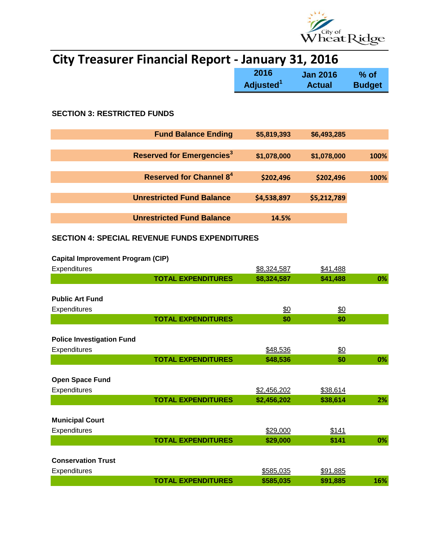

# **City Treasurer Financial Report - January 31, 2016**

|                                             | 2016<br>Adjusted <sup>1</sup> | <b>Jan 2016</b><br><b>Actual</b> | $%$ of<br><b>Budget</b> |
|---------------------------------------------|-------------------------------|----------------------------------|-------------------------|
|                                             |                               |                                  |                         |
| <b>SECTION 3: RESTRICTED FUNDS</b>          |                               |                                  |                         |
| <b>Fund Balance Ending</b>                  | \$5,819,393                   | \$6,493,285                      |                         |
|                                             |                               |                                  |                         |
| <b>Reserved for Emergencies<sup>3</sup></b> | \$1,078,000                   | \$1,078,000                      | 100%                    |
|                                             |                               |                                  |                         |
| Reserved for Channel 8 <sup>4</sup>         | \$202,496                     | \$202,496                        | 100%                    |
|                                             |                               |                                  |                         |
| <b>Unrestricted Fund Balance</b>            | \$4,538,897                   | \$5,212,789                      |                         |
|                                             |                               |                                  |                         |
| <b>Unrestricted Fund Balance</b>            | 14.5%                         |                                  |                         |

### **SECTION 4: SPECIAL REVENUE FUNDS EXPENDITURES**

### **Capital Improvement Program (CIP)**

| Expenditures                     |                           | \$8,324,587   | \$41,488        |     |
|----------------------------------|---------------------------|---------------|-----------------|-----|
|                                  | <b>TOTAL EXPENDITURES</b> | \$8,324,587   | \$41,488        | 0%  |
|                                  |                           |               |                 |     |
| <b>Public Art Fund</b>           |                           |               |                 |     |
| Expenditures                     |                           | $\frac{$0}{}$ | <u>\$0</u>      |     |
|                                  | <b>TOTAL EXPENDITURES</b> | \$0           | \$0             |     |
|                                  |                           |               |                 |     |
| <b>Police Investigation Fund</b> |                           |               |                 |     |
| Expenditures                     |                           | \$48,536      | $\frac{60}{20}$ |     |
|                                  | <b>TOTAL EXPENDITURES</b> | \$48,536      | \$0             | 0%  |
|                                  |                           |               |                 |     |
| <b>Open Space Fund</b>           |                           |               |                 |     |
| Expenditures                     |                           | \$2,456,202   | \$38,614        |     |
|                                  | <b>TOTAL EXPENDITURES</b> | \$2,456,202   | \$38,614        | 2%  |
|                                  |                           |               |                 |     |
| <b>Municipal Court</b>           |                           |               |                 |     |
| Expenditures                     |                           | \$29,000      | \$141           |     |
|                                  | <b>TOTAL EXPENDITURES</b> | \$29,000      | \$141           | 0%  |
|                                  |                           |               |                 |     |
| <b>Conservation Trust</b>        |                           |               |                 |     |
| <b>Expenditures</b>              |                           | \$585,035     | \$91,885        |     |
|                                  | <b>TOTAL EXPENDITURES</b> | \$585,035     | \$91,885        | 16% |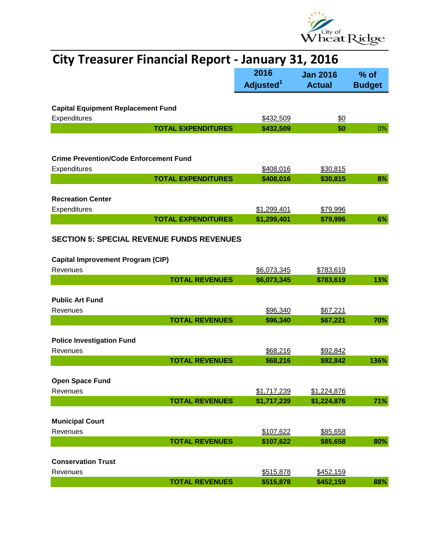

| <b>City Treasurer Financial Report - January 31, 2016</b> |                               |                                  |                         |  |
|-----------------------------------------------------------|-------------------------------|----------------------------------|-------------------------|--|
|                                                           | 2016<br>Adjusted <sup>1</sup> | <b>Jan 2016</b><br><b>Actual</b> | $%$ of<br><b>Budget</b> |  |
| <b>Capital Equipment Replacement Fund</b>                 |                               |                                  |                         |  |
| Expenditures                                              | \$432,509                     | $\frac{60}{20}$                  |                         |  |
| <b>TOTAL EXPENDITURES</b>                                 | \$432,509                     | \$0                              | 0%                      |  |
|                                                           |                               |                                  |                         |  |
| <b>Crime Prevention/Code Enforcement Fund</b>             |                               |                                  |                         |  |
| Expenditures                                              | \$408,016                     | \$30,815                         |                         |  |
| <b>TOTAL EXPENDITURES</b>                                 | \$408,016                     | \$30,815                         | 8%                      |  |
|                                                           |                               |                                  |                         |  |
| <b>Recreation Center</b>                                  |                               |                                  |                         |  |
| Expenditures                                              | \$1,299,401                   | \$79,996                         |                         |  |
| <b>TOTAL EXPENDITURES</b>                                 | \$1,299,401                   | \$79,996                         | 6%                      |  |
| <b>SECTION 5: SPECIAL REVENUE FUNDS REVENUES</b>          |                               |                                  |                         |  |
| <b>Capital Improvement Program (CIP)</b>                  |                               |                                  |                         |  |
| Revenues                                                  | \$6,073,345                   | \$783,619                        |                         |  |
| <b>TOTAL REVENUES</b>                                     | \$6,073,345                   | \$783,619                        | 13%                     |  |
| <b>Public Art Fund</b>                                    |                               |                                  |                         |  |
| Revenues                                                  | \$96,340                      | \$67,221                         |                         |  |
| <b>TOTAL REVENUES</b>                                     | \$96,340                      | \$67,221                         | 70%                     |  |
|                                                           |                               |                                  |                         |  |
| <b>Police Investigation Fund</b>                          |                               |                                  |                         |  |
| Revenues                                                  | \$68,216                      | \$92,842                         |                         |  |
| <b>TOTAL REVENUES</b>                                     | \$68,216                      | \$92,842                         | 136%                    |  |
|                                                           |                               |                                  |                         |  |
| <b>Open Space Fund</b>                                    |                               |                                  |                         |  |
| Revenues                                                  | \$1,717,239                   | \$1,224,876                      |                         |  |
| <b>TOTAL REVENUES</b>                                     | \$1,717,239                   | \$1,224,876                      | 71%                     |  |
|                                                           |                               |                                  |                         |  |
| <b>Municipal Court</b>                                    |                               |                                  |                         |  |
| Revenues                                                  | \$107,622                     | \$85,658                         |                         |  |
| <b>TOTAL REVENUES</b>                                     | \$107,622                     | \$85,658                         | 80%                     |  |
|                                                           |                               |                                  |                         |  |
| <b>Conservation Trust</b>                                 |                               |                                  |                         |  |
| Revenues                                                  | \$515,878                     | \$452,159                        |                         |  |
| <b>TOTAL REVENUES</b>                                     | \$515,878                     | \$452,159                        | 88%                     |  |